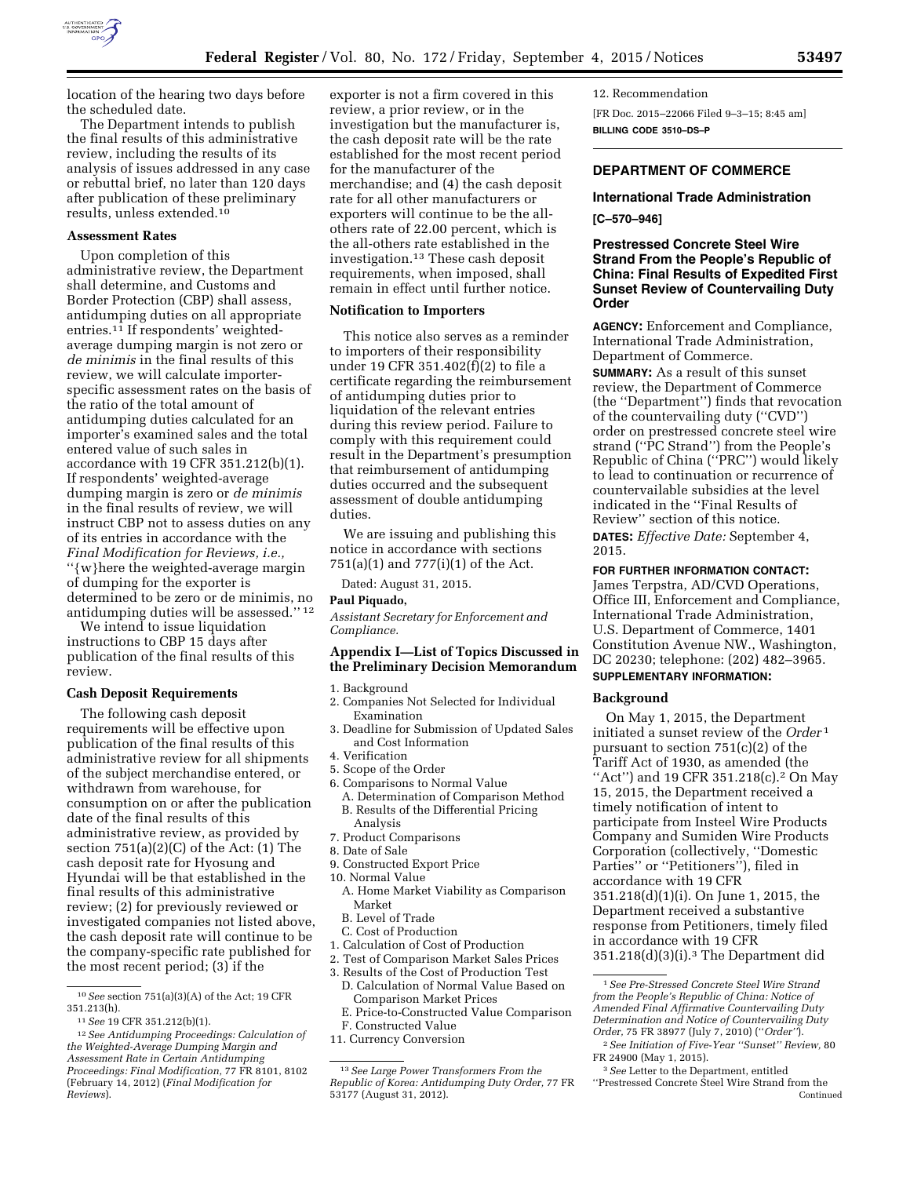

location of the hearing two days before the scheduled date.

The Department intends to publish the final results of this administrative review, including the results of its analysis of issues addressed in any case or rebuttal brief, no later than 120 days after publication of these preliminary results, unless extended.10

### **Assessment Rates**

Upon completion of this administrative review, the Department shall determine, and Customs and Border Protection (CBP) shall assess, antidumping duties on all appropriate entries.11 If respondents' weightedaverage dumping margin is not zero or *de minimis* in the final results of this review, we will calculate importerspecific assessment rates on the basis of the ratio of the total amount of antidumping duties calculated for an importer's examined sales and the total entered value of such sales in accordance with 19 CFR 351.212(b)(1). If respondents' weighted-average dumping margin is zero or *de minimis*  in the final results of review, we will instruct CBP not to assess duties on any of its entries in accordance with the *Final Modification for Reviews, i.e.,*  ''{w}here the weighted-average margin of dumping for the exporter is determined to be zero or de minimis, no antidumping duties will be assessed.'' 12

We intend to issue liquidation instructions to CBP 15 days after publication of the final results of this review.

#### **Cash Deposit Requirements**

The following cash deposit requirements will be effective upon publication of the final results of this administrative review for all shipments of the subject merchandise entered, or withdrawn from warehouse, for consumption on or after the publication date of the final results of this administrative review, as provided by section  $751(a)(2)(C)$  of the Act:  $(1)$  The cash deposit rate for Hyosung and Hyundai will be that established in the final results of this administrative review; (2) for previously reviewed or investigated companies not listed above, the cash deposit rate will continue to be the company-specific rate published for the most recent period; (3) if the

exporter is not a firm covered in this review, a prior review, or in the investigation but the manufacturer is, the cash deposit rate will be the rate established for the most recent period for the manufacturer of the merchandise; and (4) the cash deposit rate for all other manufacturers or exporters will continue to be the allothers rate of 22.00 percent, which is the all-others rate established in the investigation.13 These cash deposit requirements, when imposed, shall remain in effect until further notice.

# **Notification to Importers**

This notice also serves as a reminder to importers of their responsibility under 19 CFR 351.402(f)(2) to file a certificate regarding the reimbursement of antidumping duties prior to liquidation of the relevant entries during this review period. Failure to comply with this requirement could result in the Department's presumption that reimbursement of antidumping duties occurred and the subsequent assessment of double antidumping duties.

We are issuing and publishing this notice in accordance with sections 751(a)(1) and 777(i)(1) of the Act.

Dated: August 31, 2015.

#### **Paul Piquado,**

*Assistant Secretary for Enforcement and Compliance.* 

# **Appendix I—List of Topics Discussed in the Preliminary Decision Memorandum**

- 2. Companies Not Selected for Individual Examination
- 3. Deadline for Submission of Updated Sales and Cost Information
- 4. Verification
- 5. Scope of the Order
- 6. Comparisons to Normal Value A. Determination of Comparison Method B. Results of the Differential Pricing
- Analysis 7. Product Comparisons
- 8. Date of Sale
- 9. Constructed Export Price
- 10. Normal Value
	- A. Home Market Viability as Comparison Market
	- B. Level of Trade
	- C. Cost of Production
- 1. Calculation of Cost of Production
- 2. Test of Comparison Market Sales Prices
- 3. Results of the Cost of Production Test D. Calculation of Normal Value Based on
	- Comparison Market Prices
	- E. Price-to-Constructed Value Comparison F. Constructed Value
- 11. Currency Conversion

12. Recommendation

[FR Doc. 2015–22066 Filed 9–3–15; 8:45 am] **BILLING CODE 3510–DS–P** 

# **DEPARTMENT OF COMMERCE**

# **International Trade Administration [C–570–946]**

# **Prestressed Concrete Steel Wire Strand From the People's Republic of China: Final Results of Expedited First Sunset Review of Countervailing Duty Order**

**AGENCY:** Enforcement and Compliance, International Trade Administration, Department of Commerce.

**SUMMARY:** As a result of this sunset review, the Department of Commerce (the ''Department'') finds that revocation of the countervailing duty (''CVD'') order on prestressed concrete steel wire strand (''PC Strand'') from the People's Republic of China (''PRC'') would likely to lead to continuation or recurrence of countervailable subsidies at the level indicated in the ''Final Results of Review'' section of this notice. **DATES:** *Effective Date:* September 4, 2015.

**FOR FURTHER INFORMATION CONTACT:** 

James Terpstra, AD/CVD Operations, Office III, Enforcement and Compliance, International Trade Administration, U.S. Department of Commerce, 1401 Constitution Avenue NW., Washington, DC 20230; telephone: (202) 482–3965. **SUPPLEMENTARY INFORMATION:** 

# **Background**

On May 1, 2015, the Department initiated a sunset review of the *Order* 1 pursuant to section 751(c)(2) of the Tariff Act of 1930, as amended (the "Act") and 19 CFR 351.218(c).<sup>2</sup> On May 15, 2015, the Department received a timely notification of intent to participate from Insteel Wire Products Company and Sumiden Wire Products Corporation (collectively, ''Domestic Parties'' or ''Petitioners''), filed in accordance with 19 CFR 351.218(d)(1)(i). On June 1, 2015, the Department received a substantive response from Petitioners, timely filed in accordance with 19 CFR  $351.218(d)(3)(i).$ <sup>3</sup> The Department did

3*See* Letter to the Department, entitled ''Prestressed Concrete Steel Wire Strand from the Continued

<sup>10</sup>*See* section 751(a)(3)(A) of the Act; 19 CFR 351.213(h).

<sup>11</sup>*See* 19 CFR 351.212(b)(1).

<sup>12</sup>*See Antidumping Proceedings: Calculation of the Weighted-Average Dumping Margin and Assessment Rate in Certain Antidumping Proceedings: Final Modification,* 77 FR 8101, 8102 (February 14, 2012) (*Final Modification for Reviews*).

<sup>1.</sup> Background

<sup>13</sup>*See Large Power Transformers From the Republic of Korea: Antidumping Duty Order,* 77 FR 53177 (August 31, 2012).

<sup>1</sup>*See Pre-Stressed Concrete Steel Wire Strand from the People's Republic of China: Notice of Amended Final Affirmative Countervailing Duty Determination and Notice of Countervailing Duty Order,* 75 FR 38977 (July 7, 2010) (''*Order''*). 2*See Initiation of Five-Year ''Sunset'' Review,* 80

FR 24900 (May 1, 2015).